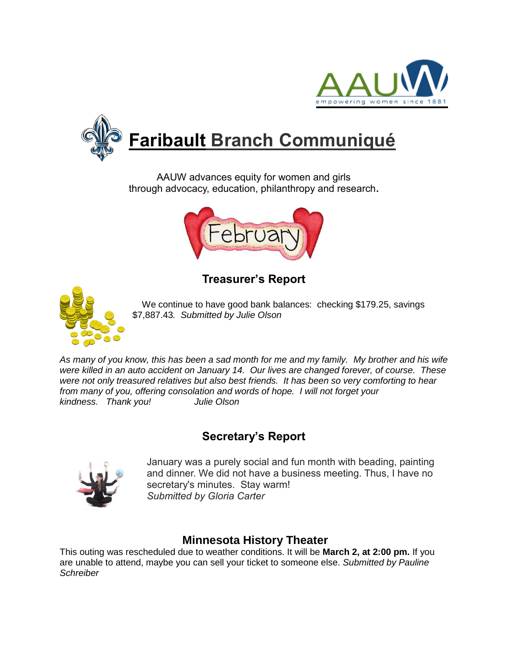



AAUW advances equity for women and girls through advocacy, education, philanthropy and research**.**



# **Treasurer's Report**



We continue to have good bank balances: checking \$179.25, savings \$7,887.43*. Submitted by Julie Olson*

*As many of you know, this has been a sad month for me and my family. My brother and his wife were killed in an auto accident on January 14. Our lives are changed forever, of course. These were not only treasured relatives but also best friends. It has been so very comforting to hear from many of you, offering consolation and words of hope. I will not forget your kindness. Thank you! Julie Olson*

## **Secretary's Report**



January was a purely social and fun month with beading, painting and dinner. We did not have a business meeting. Thus, I have no secretary's minutes. Stay warm! *Submitted by Gloria Carter*

## **Minnesota History Theater**

This outing was rescheduled due to weather conditions. It will be **March 2, at 2:00 pm.** If you are unable to attend, maybe you can sell your ticket to someone else. *Submitted by Pauline Schreiber*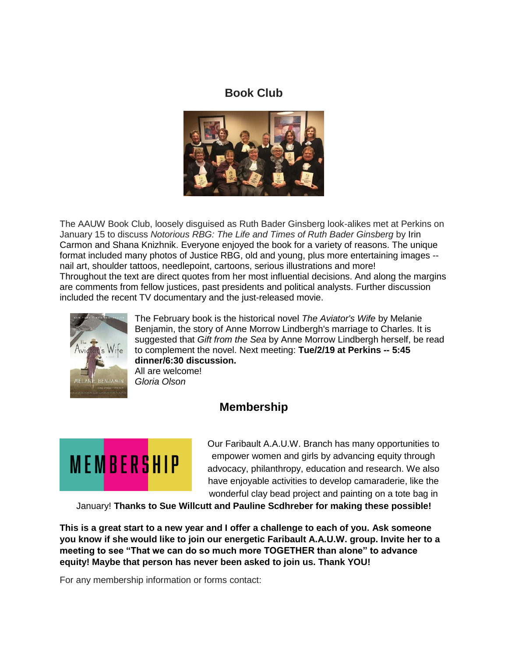## **Book Club**



The AAUW Book Club, loosely disguised as Ruth Bader Ginsberg look-alikes met at Perkins on January 15 to discuss *Notorious RBG: The Life and Times of Ruth Bader Ginsberg* by Irin Carmon and Shana Knizhnik. Everyone enjoyed the book for a variety of reasons. The unique format included many photos of Justice RBG, old and young, plus more entertaining images - nail art, shoulder tattoos, needlepoint, cartoons, serious illustrations and more! Throughout the text are direct quotes from her most influential decisions. And along the margins are comments from fellow justices, past presidents and political analysts. Further discussion included the recent TV documentary and the just-released movie.



The February book is the historical novel *The Aviator's Wife* by Melanie Benjamin, the story of Anne Morrow Lindbergh's marriage to Charles. It is suggested that *Gift from the Sea* by Anne Morrow Lindbergh herself, be read to complement the novel. Next meeting: **Tue/2/19 at Perkins -- 5:45 dinner/6:30 discussion.**

All are welcome! *Gloria Olson*

## **Membership**



Our Faribault A.A.U.W. Branch has many opportunities to empower women and girls by advancing equity through advocacy, philanthropy, education and research. We also have enjoyable activities to develop camaraderie, like the wonderful clay bead project and painting on a tote bag in

January! **Thanks to Sue Willcutt and Pauline Scdhreber for making these possible!**

**This is a great start to a new year and I offer a challenge to each of you. Ask someone you know if she would like to join our energetic Faribault A.A.U.W. group. Invite her to a meeting to see "That we can do so much more TOGETHER than alone" to advance equity! Maybe that person has never been asked to join us. Thank YOU!**

For any membership information or forms contact: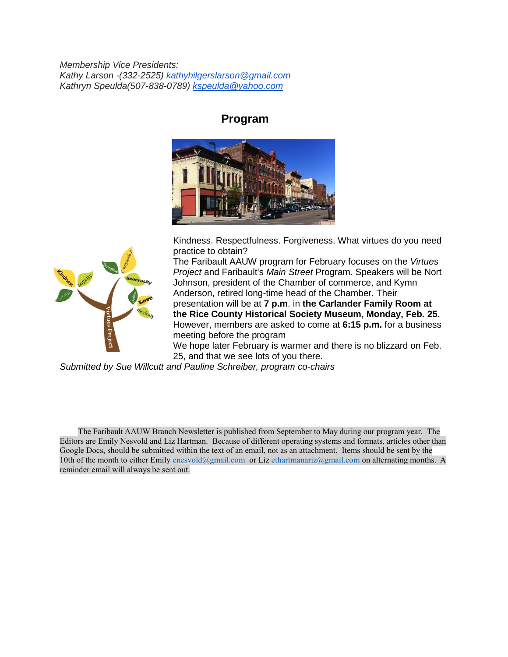*Membership Vice Presidents: Kathy Larson -(332-2525) [kathyhilgerslarson@gmail.com](mailto:kathyhilgerslarson@gmail.com) Kathryn Speulda(507-838-0789) [kspeulda@yahoo.com](mailto:kspeulda@yahoo.com)*

### **Program**





Kindness. Respectfulness. Forgiveness. What virtues do you need practice to obtain?

The Faribault AAUW program for February focuses on the *Virtues Project* and Faribault's *Main Street* Program. Speakers will be Nort Johnson, president of the Chamber of commerce, and Kymn Anderson, retired long-time head of the Chamber. Their presentation will be at **7 p.m**. in **the Carlander Family Room at the Rice County Historical Society Museum, Monday, Feb. 25.** However, members are asked to come at **6:15 p.m.** for a business meeting before the program

We hope later February is warmer and there is no blizzard on Feb. 25, and that we see lots of you there.

*Submitted by Sue Willcutt and Pauline Schreiber, program co-chairs*

 The Faribault AAUW Branch Newsletter is published from September to May during our program year. The Editors are Emily Nesvold and Liz Hartman. Because of different operating systems and formats, articles other than Google Docs, should be submitted within the text of an email, not as an attachment. Items should be sent by the 10th of the month to either Emily [enesvold@gmail.com](mailto:enesvold@gmail.com) or Liz [ethartmanariz@gmail.com](mailto:ethartmanariz@gmail.com) on alternating months. A reminder email will always be sent out.  $\ddot{\phantom{0}}$